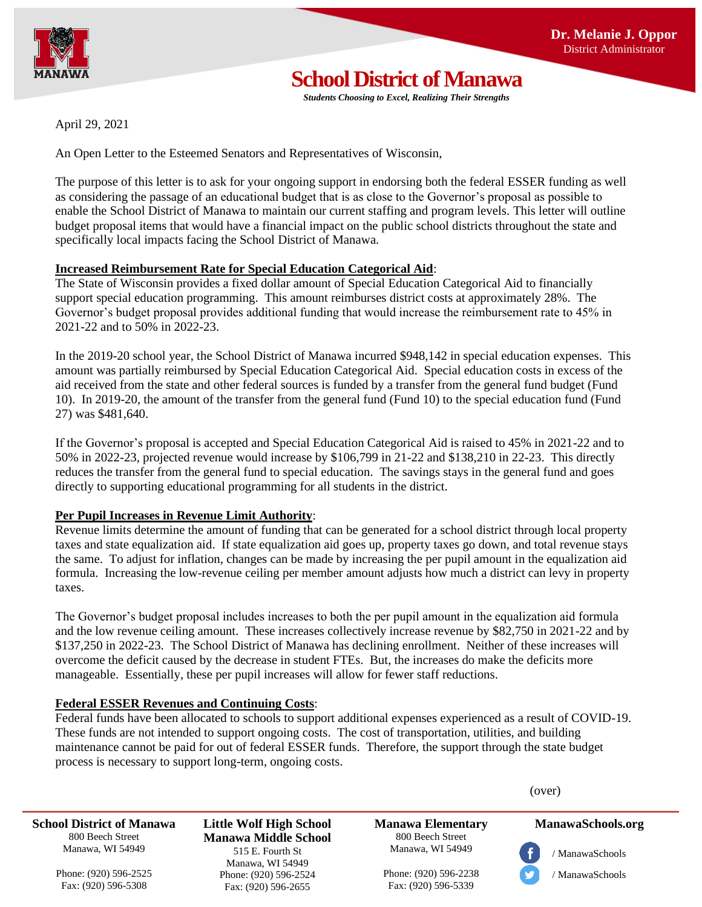

# **School District of Manawa**

*Students Choosing to Excel, Realizing Their Strengths*

April 29, 2021

An Open Letter to the Esteemed Senators and Representatives of Wisconsin,

The purpose of this letter is to ask for your ongoing support in endorsing both the federal ESSER funding as well as considering the passage of an educational budget that is as close to the Governor's proposal as possible to enable the School District of Manawa to maintain our current staffing and program levels. This letter will outline budget proposal items that would have a financial impact on the public school districts throughout the state and specifically local impacts facing the School District of Manawa.

#### **Increased Reimbursement Rate for Special Education Categorical Aid**:

The State of Wisconsin provides a fixed dollar amount of Special Education Categorical Aid to financially support special education programming. This amount reimburses district costs at approximately 28%. The Governor's budget proposal provides additional funding that would increase the reimbursement rate to 45% in 2021-22 and to 50% in 2022-23.

In the 2019-20 school year, the School District of Manawa incurred \$948,142 in special education expenses. This amount was partially reimbursed by Special Education Categorical Aid. Special education costs in excess of the aid received from the state and other federal sources is funded by a transfer from the general fund budget (Fund 10). In 2019-20, the amount of the transfer from the general fund (Fund 10) to the special education fund (Fund 27) was \$481,640.

If the Governor's proposal is accepted and Special Education Categorical Aid is raised to 45% in 2021-22 and to 50% in 2022-23, projected revenue would increase by \$106,799 in 21-22 and \$138,210 in 22-23. This directly reduces the transfer from the general fund to special education. The savings stays in the general fund and goes directly to supporting educational programming for all students in the district.

# **Per Pupil Increases in Revenue Limit Authority**:

Revenue limits determine the amount of funding that can be generated for a school district through local property taxes and state equalization aid. If state equalization aid goes up, property taxes go down, and total revenue stays the same. To adjust for inflation, changes can be made by increasing the per pupil amount in the equalization aid formula. Increasing the low-revenue ceiling per member amount adjusts how much a district can levy in property taxes.

The Governor's budget proposal includes increases to both the per pupil amount in the equalization aid formula and the low revenue ceiling amount. These increases collectively increase revenue by \$82,750 in 2021-22 and by \$137,250 in 2022-23. The School District of Manawa has declining enrollment. Neither of these increases will overcome the deficit caused by the decrease in student FTEs. But, the increases do make the deficits more manageable. Essentially, these per pupil increases will allow for fewer staff reductions.

# **Federal ESSER Revenues and Continuing Costs**:

Federal funds have been allocated to schools to support additional expenses experienced as a result of COVID-19. These funds are not intended to support ongoing costs. The cost of transportation, utilities, and building maintenance cannot be paid for out of federal ESSER funds. Therefore, the support through the state budget process is necessary to support long-term, ongoing costs.

(over)

# **School District of Manawa**

800 Beech Street Manawa, WI 54949

Phone: (920) 596-2525 Fax: (920) 596-5308

**Little Wolf High School Manawa Middle School** 515 E. Fourth St Manawa, WI 54949 Phone: (920) 596-2524 Fax: (920) 596-2655

**Manawa Elementary** 800 Beech Street Manawa, WI 54949

Phone: (920) 596-2238 Fax: (920) 596-5339

# **ManawaSchools.org**

/ ManawaSchools

/ ManawaSchools